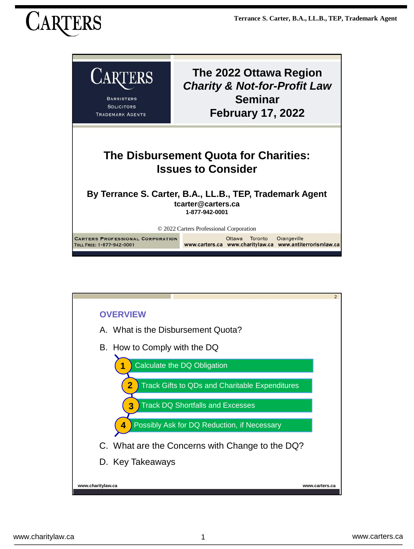

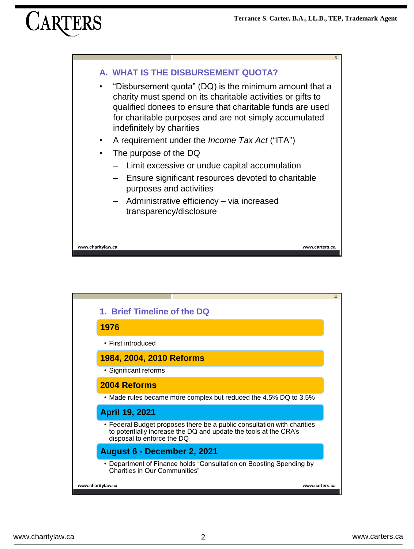

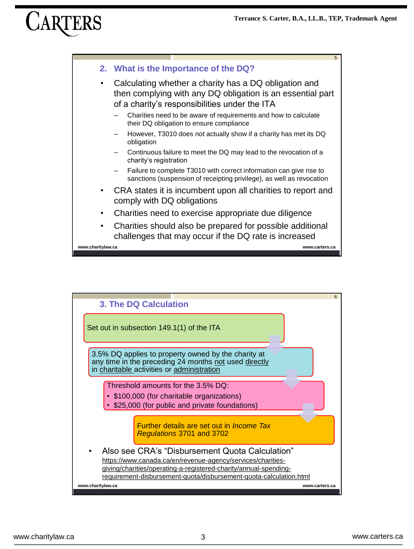

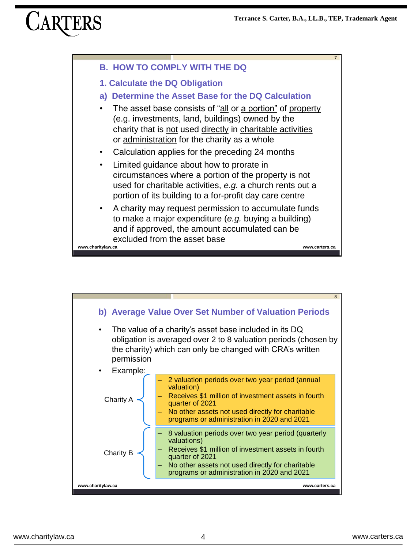

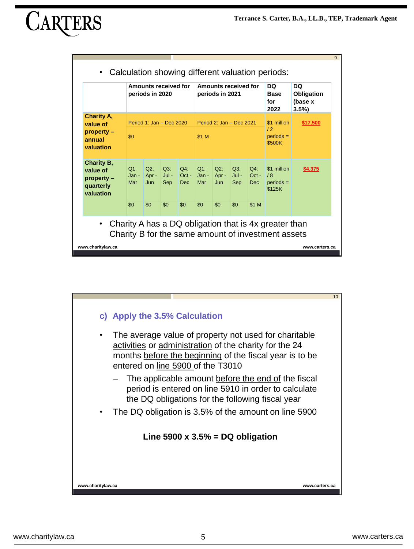|                                                                    | Amounts received for<br>periods in 2020<br>Period 1: Jan - Dec $2020$<br>\$0 |                          |                       |                          | Amounts received for<br>periods in 2021<br>Period 2: Jan - Dec $2021$<br>\$1 M |               |                       |                          | DQ.<br><b>Base</b><br>for<br>2022<br>\$1 million<br>12<br>$periods =$<br>\$500K | DQ<br>Obligation<br>(base x<br>3.5%<br>\$17,500 |
|--------------------------------------------------------------------|------------------------------------------------------------------------------|--------------------------|-----------------------|--------------------------|--------------------------------------------------------------------------------|---------------|-----------------------|--------------------------|---------------------------------------------------------------------------------|-------------------------------------------------|
| <b>Charity A,</b><br>value of<br>property -<br>annual<br>valuation |                                                                              |                          |                       |                          |                                                                                |               |                       |                          |                                                                                 |                                                 |
| Charity B,<br>value of<br>$property -$<br>quarterly<br>valuation   | $Q1$ :<br>Jan -<br>Mar                                                       | $Q2$ :<br>$Apr -$<br>Jun | Q3:<br>$Jul -$<br>Sep | $Q4$ :<br>$Oct -$<br>Dec | $Q1$ :<br>$Jan -   Apr -$<br>Mar                                               | $Q2$ :<br>Jun | Q3:<br>$Jul -$<br>Sep | $Q4$ :<br>$Oct -$<br>Dec | \$1 million<br>/8<br>$periods =$<br>\$125K                                      | \$4,375                                         |
| $\bullet$                                                          | \$0                                                                          | \$0                      | \$0                   | \$0                      | \$0                                                                            | \$0           | \$0                   | \$1 M                    | Charity A has a DQ obligation that is 4x greater than                           |                                                 |

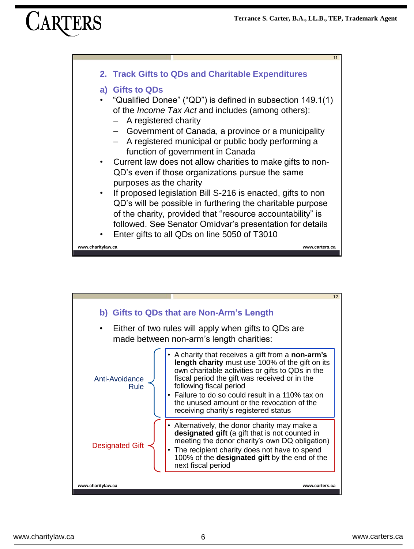

![](_page_5_Figure_3.jpeg)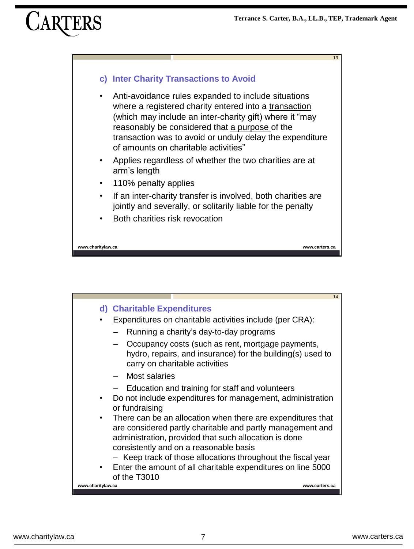13

# **c) Inter Charity Transactions to Avoid**

- Anti-avoidance rules expanded to include situations where a registered charity entered into a transaction (which may include an inter-charity gift) where it "may reasonably be considered that a purpose of the transaction was to avoid or unduly delay the expenditure of amounts on charitable activities"
- Applies regardless of whether the two charities are at arm's length
- 110% penalty applies
- If an inter-charity transfer is involved, both charities are jointly and severally, or solitarily liable for the penalty
- Both charities risk revocation

**www.charitylaw.ca www.carters.ca**

![](_page_6_Figure_9.jpeg)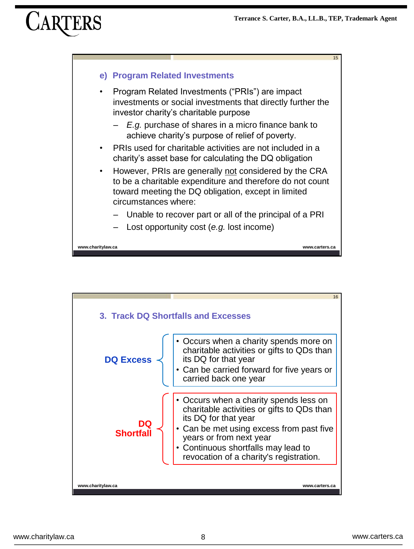![](_page_7_Figure_2.jpeg)

![](_page_7_Figure_3.jpeg)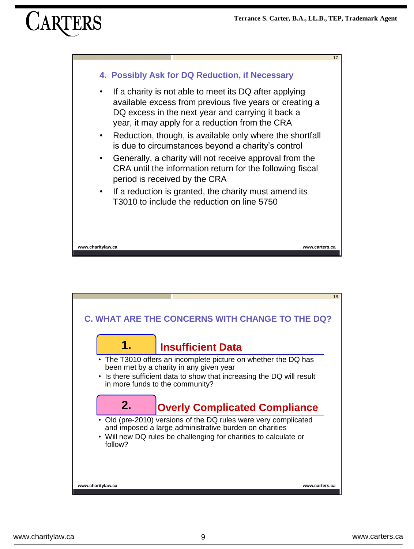![](_page_8_Figure_2.jpeg)

![](_page_8_Figure_3.jpeg)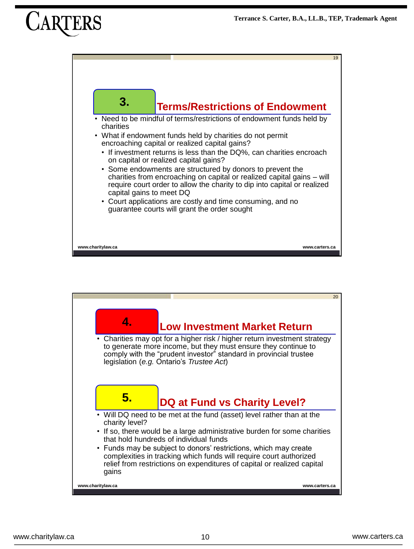![](_page_9_Figure_2.jpeg)

![](_page_9_Figure_3.jpeg)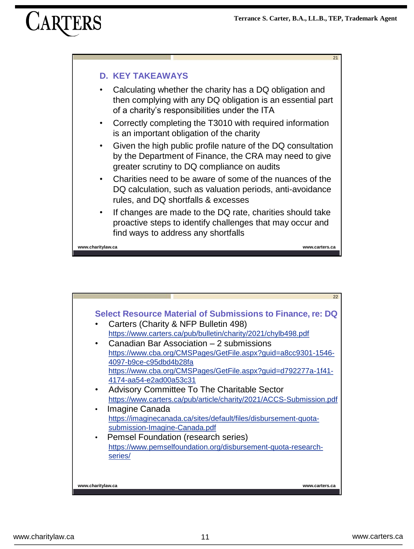![](_page_10_Figure_2.jpeg)

![](_page_10_Figure_3.jpeg)